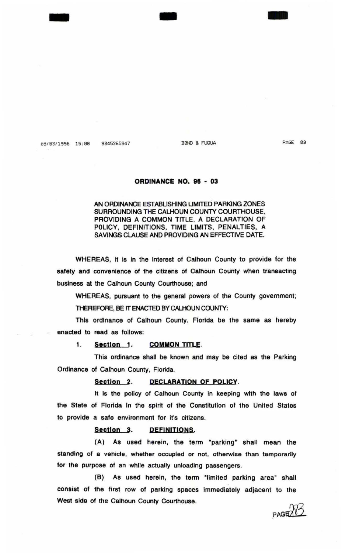$49/ 83/ 1996$  15:88 9845265947 BBND & FUQUA

- -

PAGE 03

-

# ORDINANCE NO. 98 - 03

# AN ORDINANCE ESTABLISHING LIMITED PARKING ZONES SURROUNDING THE CALHOUN COUNTY COURTHOUSE, PROVIDING A COMMON TITLE, A DECLARATION OF POLICY, DEFINITIONS, TIME LIMITS, PENALTIES, A SAVINGS CLAUSE AND PROVIDING AN EFFECTIVE DATE.

WHEREAS, it is In the interest of Calhoun County to provide for the safety and convenience of the citizens of Calhoun County when transacting business at the Calhoun County Courthouse; and

WHEREAS, pursuant to the general powers of the County government;

THEREFORE, BE IT ENACTED BY CALHOUN COUNTY:

This ordinance of Calhoun County, Florida be the same as hereby enacted to read as follows:

1. Section 1. COMMON TITLE.

This ordinance shall be known and may be cited as the Parking Ordinance of Calhoun County, Florida.

## Section 2. DECLARATION OF POLICY.

It is the policy of Calhoun County In keeping with the laws of the State of Florida in the spirit of the Constitution of the United States to provide a safe environment for it's citizens.

### Section 3. DEFINITIONS.

(A) As used herein, the term "parking" shall mean the standing of a vehicle, whether occupied or not, otherwise than temporarily for the purpose of an while actually unloading passengers.

(B) As used herein, the term "limited parking area" shall consist of the first row of parking spaces immediately adjacent to the West side of the Calhoun County Courthouse. PAGE 283